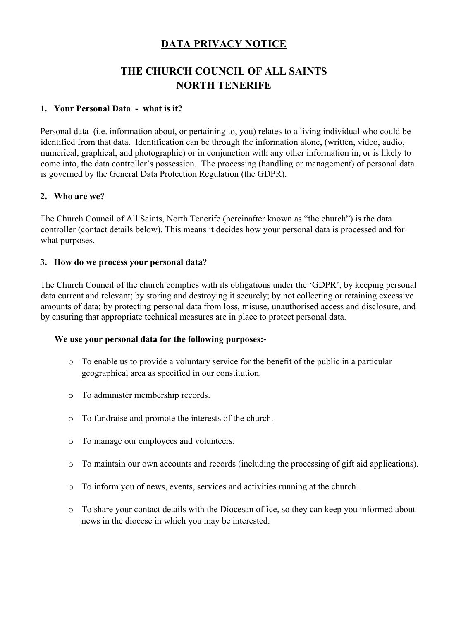# **DATA PRIVACY NOTICE**

# **THE CHURCH COUNCIL OF ALL SAINTS NORTH TENERIFE**

### **1. Your Personal Data - what is it?**

Personal data (i.e. information about, or pertaining to, you) relates to a living individual who could be identified from that data. Identification can be through the information alone, (written, video, audio, numerical, graphical, and photographic) or in conjunction with any other information in, or is likely to come into, the data controller's possession. The processing (handling or management) of personal data is governed by the General Data Protection Regulation (the GDPR).

#### **2. Who are we?**

The Church Council of All Saints, North Tenerife (hereinafter known as "the church") is the data controller (contact details below). This means it decides how your personal data is processed and for what purposes.

#### **3. How do we process your personal data?**

The Church Council of the church complies with its obligations under the 'GDPR', by keeping personal data current and relevant; by storing and destroying it securely; by not collecting or retaining excessive amounts of data; by protecting personal data from loss, misuse, unauthorised access and disclosure, and by ensuring that appropriate technical measures are in place to protect personal data.

#### **We use your personal data for the following purposes:-**

- o To enable us to provide a voluntary service for the benefit of the public in a particular geographical area as specified in our constitution.
- o To administer membership records.
- o To fundraise and promote the interests of the church.
- o To manage our employees and volunteers.
- o To maintain our own accounts and records (including the processing of gift aid applications).
- o To inform you of news, events, services and activities running at the church.
- o To share your contact details with the Diocesan office, so they can keep you informed about news in the diocese in which you may be interested.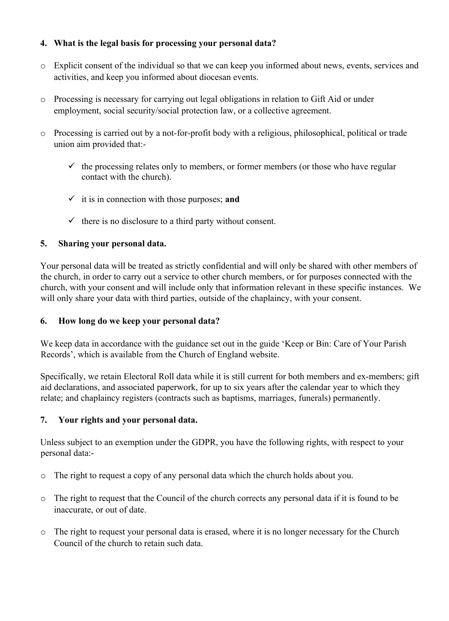### **4. What is the legal basis for processing your personal data?**

- o Explicit consent of the individual so that we can keep you informed about news, events, services and activities, and keep you informed about diocesan events.
- o Processing is necessary for carrying out legal obligations in relation to Gift Aid or under employment, social security/social protection law, or a collective agreement.
- o Processing is carried out by a not-for-profit body with a religious, philosophical, political or trade union aim provided that:-
	- $\checkmark$  the processing relates only to members, or former members (or those who have regular contact with the church).
	- ✓ it is in connection with those purposes; **and**
	- $\checkmark$  there is no disclosure to a third party without consent.

### **5. Sharing your personal data.**

Your personal data will be treated as strictly confidential and will only be shared with other members of the church, in order to carry out a service to other church members, or for purposes connected with the church, with your consent and will include only that information relevant in these specific instances. We will only share your data with third parties, outside of the chaplaincy, with your consent.

### **6. How long do we keep your personal data?**

We keep data in accordance with the guidance set out in the guide 'Keep or Bin: Care of Your Parish Records', which is available from the Church of England website.

Specifically, we retain Electoral Roll data while it is still current for both members and ex-members; gift aid declarations, and associated paperwork, for up to six years after the calendar year to which they relate; and chaplaincy registers (contracts such as baptisms, marriages, funerals) permanently.

## **7. Your rights and your personal data.**

Unless subject to an exemption under the GDPR, you have the following rights, with respect to your personal data:-

- o The right to request a copy of any personal data which the church holds about you.
- o The right to request that the Council of the church corrects any personal data if it is found to be inaccurate, or out of date.
- o The right to request your personal data is erased, where it is no longer necessary for the Church Council of the church to retain such data.